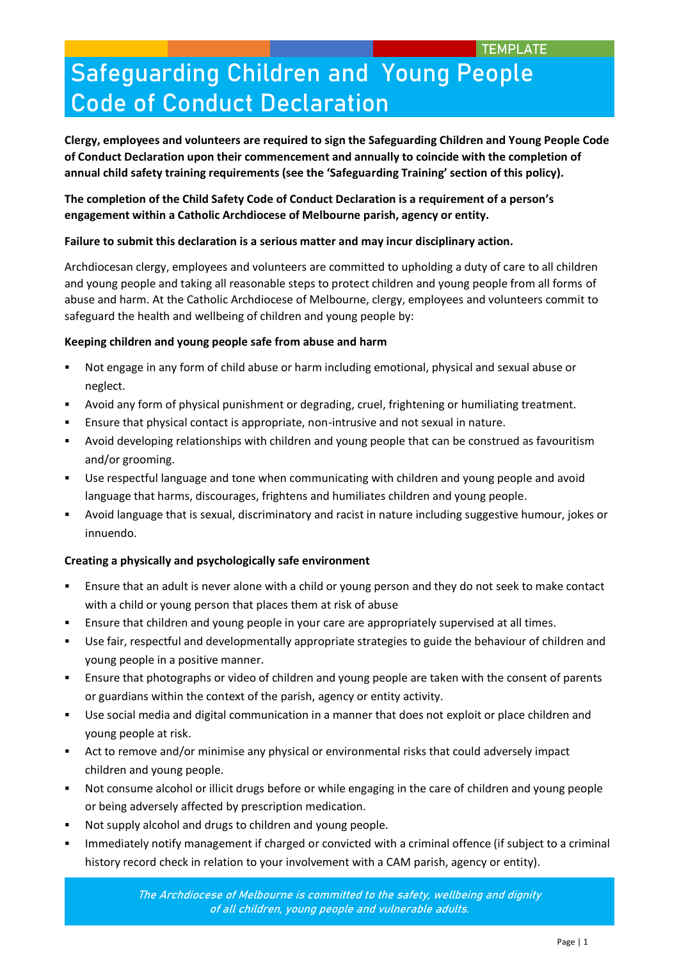# **Safeguarding Children and Young People Code of Conduct Declaration**

**Clergy, employees and volunteers are required to sign the Safeguarding Children and Young People Code of Conduct Declaration upon their commencement and annually to coincide with the completion of annual child safety training requirements (see the 'Safeguarding Training' section of this policy).** 

## **The completion of the Child Safety Code of Conduct Declaration is a requirement of a person's engagement within a Catholic Archdiocese of Melbourne parish, agency or entity.**

### **Failure to submit this declaration is a serious matter and may incur disciplinary action.**

Archdiocesan clergy, employees and volunteers are committed to upholding a duty of care to all children and young people and taking all reasonable steps to protect children and young people from all forms of abuse and harm. At the Catholic Archdiocese of Melbourne, clergy, employees and volunteers commit to safeguard the health and wellbeing of children and young people by:

#### **Keeping children and young people safe from abuse and harm**

- Not engage in any form of child abuse or harm including emotional, physical and sexual abuse or neglect.
- Avoid any form of physical punishment or degrading, cruel, frightening or humiliating treatment.
- Ensure that physical contact is appropriate, non-intrusive and not sexual in nature.
- Avoid developing relationships with children and young people that can be construed as favouritism and/or grooming.
- Use respectful language and tone when communicating with children and young people and avoid language that harms, discourages, frightens and humiliates children and young people.
- Avoid language that is sexual, discriminatory and racist in nature including suggestive humour, jokes or innuendo.

### **Creating a physically and psychologically safe environment**

- Ensure that an adult is never alone with a child or young person and they do not seek to make contact with a child or young person that places them at risk of abuse
- **Ensure that children and young people in your care are appropriately supervised at all times.**
- Use fair, respectful and developmentally appropriate strategies to guide the behaviour of children and young people in a positive manner.
- Ensure that photographs or video of children and young people are taken with the consent of parents or guardians within the context of the parish, agency or entity activity.
- Use social media and digital communication in a manner that does not exploit or place children and young people at risk.
- Act to remove and/or minimise any physical or environmental risks that could adversely impact children and young people.
- Not consume alcohol or illicit drugs before or while engaging in the care of children and young people or being adversely affected by prescription medication.
- Not supply alcohol and drugs to children and young people.
- Immediately notify management if charged or convicted with a criminal offence (if subject to a criminal history record check in relation to your involvement with a CAM parish, agency or entity).